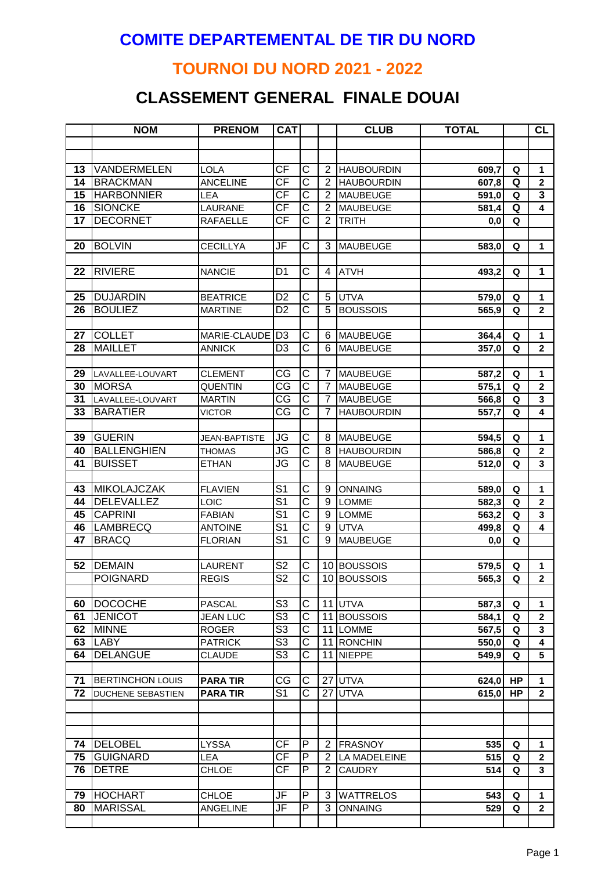#### **COMITE DEPARTEMENTAL DE TIR DU NORD**

## **TOURNOI DU NORD 2021 - 2022**

# **CLASSEMENT GENERAL FINALE DOUAI**

|    | <b>NOM</b>               | <b>PRENOM</b>        | <b>CAT</b>               |                         |                | <b>CLUB</b>       | <b>TOTAL</b>   |    | <b>CL</b>               |
|----|--------------------------|----------------------|--------------------------|-------------------------|----------------|-------------------|----------------|----|-------------------------|
|    |                          |                      |                          |                         |                |                   |                |    |                         |
|    |                          |                      |                          |                         |                |                   |                |    |                         |
| 13 | VANDERMELEN              | <b>LOLA</b>          | <b>CF</b>                | $\overline{\text{C}}$   | 2              | <b>HAUBOURDIN</b> | 609,7          | Q  | 1                       |
| 14 | <b>BRACKMAN</b>          | <b>ANCELINE</b>      | $\overline{\mathsf{CF}}$ | $\overline{\text{c}}$   | $\overline{2}$ | <b>HAUBOURDIN</b> | 607,8          | Q  | $\mathbf{2}$            |
| 15 | <b>HARBONNIER</b>        | LEA                  | $\overline{\mathsf{CF}}$ | $\overline{\text{c}}$   | $\overline{2}$ | <b>MAUBEUGE</b>   | 591,0          | Q  | 3                       |
| 16 | <b>SIONCKE</b>           | LAURANE              | <b>CF</b>                | $\overline{\text{C}}$   | $\overline{2}$ | <b>MAUBEUGE</b>   | 581,4          | Q  | 4                       |
| 17 | <b>DECORNET</b>          | RAFAELLE             | <b>CF</b>                | $\overline{\text{c}}$   | $\overline{2}$ | <b>TRITH</b>      | 0,0            | Q  |                         |
|    |                          |                      |                          |                         |                |                   |                |    |                         |
| 20 | <b>BOLVIN</b>            | <b>CECILLYA</b>      | JF                       | C                       | 3              | <b>MAUBEUGE</b>   | 583,0          | Q  | 1                       |
|    |                          |                      |                          |                         |                |                   |                |    |                         |
| 22 | <b>RIVIERE</b>           | <b>NANCIE</b>        | D <sub>1</sub>           | C                       | 4              | <b>ATVH</b>       | 493,2          | Q  | 1                       |
|    |                          |                      |                          |                         |                |                   |                |    |                         |
| 25 | <b>DUJARDIN</b>          | <b>BEATRICE</b>      | D <sub>2</sub>           | C                       | 5              | <b>UTVA</b>       | 579,0          | Q  | 1                       |
| 26 | <b>BOULIEZ</b>           | <b>MARTINE</b>       | D <sub>2</sub>           | $\overline{\text{c}}$   | 5              | <b>BOUSSOIS</b>   | 565,9          | Q  | $\mathbf{2}$            |
| 27 | <b>COLLET</b>            | MARIE-CLAUDE D3      |                          | $\overline{\text{C}}$   | 6              | <b>MAUBEUGE</b>   |                | Q  | 1                       |
| 28 | <b>MAILLET</b>           | <b>ANNICK</b>        | D <sub>3</sub>           | $\overline{\text{c}}$   | 6              | <b>MAUBEUGE</b>   | 364,4<br>357,0 | Q  | $\overline{\mathbf{2}}$ |
|    |                          |                      |                          |                         |                |                   |                |    |                         |
| 29 | LAVALLEE-LOUVART         | <b>CLEMENT</b>       | CG                       | $\overline{\text{C}}$   | $\overline{7}$ | <b>MAUBEUGE</b>   | 587,2          | Q  | 1                       |
| 30 | <b>IMORSA</b>            | <b>QUENTIN</b>       | $\overline{\text{CG}}$   | $\overline{\text{c}}$   | $\overline{7}$ | <b>MAUBEUGE</b>   | 575,1          | Q  | $\overline{2}$          |
| 31 | LAVALLEE-LOUVART         | <b>MARTIN</b>        | CG                       | $\overline{\text{c}}$   | $\overline{7}$ | MAUBEUGE          | 566,8          | Q  | 3                       |
| 33 | <b>BARATIER</b>          | <b>VICTOR</b>        | CG                       | $\overline{\text{C}}$   | $\overline{7}$ | <b>HAUBOURDIN</b> | 557,7          | Q  | 4                       |
|    |                          |                      |                          |                         |                |                   |                |    |                         |
| 39 | <b>GUERIN</b>            | <b>JEAN-BAPTISTE</b> | JG                       | C                       | 8              | <b>MAUBEUGE</b>   | 594,5          | Q  | 1                       |
| 40 | <b>BALLENGHIEN</b>       | <b>THOMAS</b>        | JG                       | C                       | 8              | <b>HAUBOURDIN</b> | 586,8          | Q  | $\mathbf{2}$            |
| 41 | <b>BUISSET</b>           | <b>ETHAN</b>         | JG                       | $\overline{\text{c}}$   | 8              | <b>MAUBEUGE</b>   | 512,0          | Q  | 3                       |
|    |                          |                      |                          |                         |                |                   |                |    |                         |
| 43 | <b>MIKOLAJCZAK</b>       | <b>FLAVIEN</b>       | S <sub>1</sub>           | $\overline{\text{c}}$   | 9              | <b>ONNAING</b>    | 589,0          | Q  | $\mathbf{1}$            |
| 44 | <b>DELEVALLEZ</b>        | LOIC                 | S <sub>1</sub>           | $\overline{\text{c}}$   | 9              | <b>LOMME</b>      | 582,3          | Q  | $\mathbf{2}$            |
| 45 | <b>CAPRINI</b>           | <b>FABIAN</b>        | S <sub>1</sub>           | $\overline{\text{c}}$   | 9              | <b>LOMME</b>      | 563,2          | Q  | $\mathbf{3}$            |
| 46 | LAMBRECQ                 | <b>ANTOINE</b>       | $\overline{S1}$          | $\overline{\text{c}}$   | 9              | <b>UTVA</b>       | 499,8          | Q  | 4                       |
| 47 | <b>BRACQ</b>             | <b>FLORIAN</b>       | $\overline{S1}$          | $\overline{\text{c}}$   | $\overline{9}$ | <b>MAUBEUGE</b>   | 0,0            | Q  |                         |
|    |                          |                      |                          |                         |                |                   |                |    |                         |
| 52 | <b>DEMAIN</b>            | <b>LAURENT</b>       | S <sub>2</sub>           | C                       |                | 10 BOUSSOIS       | 579,5          | Q  | 1                       |
|    | <b>POIGNARD</b>          | <b>REGIS</b>         | $\overline{\mathsf{S2}}$ | $\overline{\text{c}}$   |                | 10 BOUSSOIS       | 565,3          | Q  | $\mathbf{2}$            |
|    |                          |                      |                          |                         |                |                   |                |    |                         |
| 60 | <b>DOCOCHE</b>           | <b>PASCAL</b>        | S <sub>3</sub>           | C                       |                | 11 UTVA           | 587,3          | Q  | 1                       |
| 61 | <b>JENICOT</b>           | <b>JEAN LUC</b>      | $\overline{\text{S3}}$   | $\overline{\text{C}}$   |                | 11 BOUSSOIS       | 584,1          | Q  | $\mathbf{2}$            |
| 62 | <b>MINNE</b>             | <b>ROGER</b>         | $\overline{\text{S3}}$   | C                       |                | 11 LOMME          | 567,5          | Q  | 3                       |
| 63 | <b>LABY</b>              | <b>PATRICK</b>       | $\overline{\mathsf{S}3}$ | C                       |                | 11 RONCHIN        | 550,0          | Q  | 4                       |
| 64 | <b>DELANGUE</b>          | <b>CLAUDE</b>        | $\overline{\text{S3}}$   | С                       | 11             | NIEPPE            | 549,9          | Q  | 5                       |
| 71 | <b>BERTINCHON LOUIS</b>  | <b>PARA TIR</b>      | CG                       | С                       |                | 27 UTVA           |                | HP |                         |
| 72 | <b>DUCHENE SEBASTIEN</b> | <b>PARA TIR</b>      | S <sub>1</sub>           | C                       |                | 27 UTVA           | 624,0<br>615,0 | HP | 1<br>$\mathbf{2}$       |
|    |                          |                      |                          |                         |                |                   |                |    |                         |
|    |                          |                      |                          |                         |                |                   |                |    |                         |
|    |                          |                      |                          |                         |                |                   |                |    |                         |
| 74 | <b>DELOBEL</b>           | <b>LYSSA</b>         | <b>CF</b>                | P                       | $\overline{2}$ | <b>FRASNOY</b>    | 535            | Q  | $\mathbf{1}$            |
| 75 | <b>GUIGNARD</b>          | LEA                  | <b>CF</b>                | P                       | $\overline{2}$ | LA MADELEINE      | 515            | Q  | $\mathbf{2}$            |
| 76 | <b>DETRE</b>             | <b>CHLOE</b>         | <b>CF</b>                | P                       | $\overline{2}$ | <b>CAUDRY</b>     | 514            | Q  | 3                       |
|    |                          |                      |                          |                         |                |                   |                |    |                         |
| 79 | <b>HOCHART</b>           | <b>CHLOE</b>         | JF                       | P                       | 3              | <b>WATTRELOS</b>  | 543            | Q  | 1                       |
| 80 | <b>MARISSAL</b>          | <b>ANGELINE</b>      | JF                       | $\overline{\mathsf{P}}$ | 3              | <b>ONNAING</b>    | 529            | Q  | $\overline{2}$          |
|    |                          |                      |                          |                         |                |                   |                |    |                         |